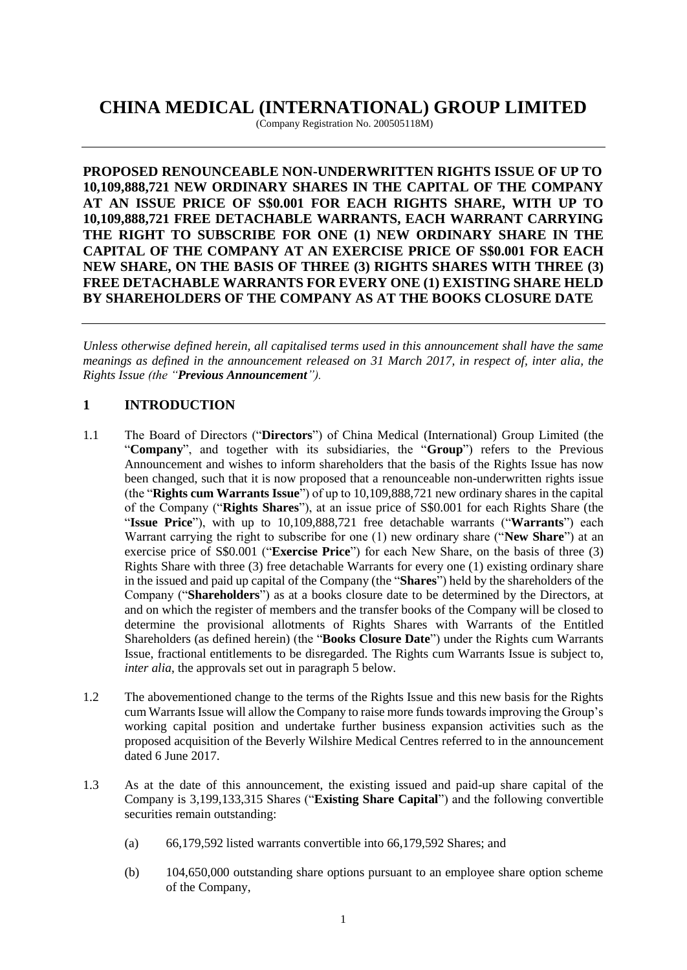# **CHINA MEDICAL (INTERNATIONAL) GROUP LIMITED**

(Company Registration No. 200505118M)

**PROPOSED RENOUNCEABLE NON-UNDERWRITTEN RIGHTS ISSUE OF UP TO 10,109,888,721 NEW ORDINARY SHARES IN THE CAPITAL OF THE COMPANY AT AN ISSUE PRICE OF S\$0.001 FOR EACH RIGHTS SHARE, WITH UP TO 10,109,888,721 FREE DETACHABLE WARRANTS, EACH WARRANT CARRYING THE RIGHT TO SUBSCRIBE FOR ONE (1) NEW ORDINARY SHARE IN THE CAPITAL OF THE COMPANY AT AN EXERCISE PRICE OF S\$0.001 FOR EACH NEW SHARE, ON THE BASIS OF THREE (3) RIGHTS SHARES WITH THREE (3) FREE DETACHABLE WARRANTS FOR EVERY ONE (1) EXISTING SHARE HELD BY SHAREHOLDERS OF THE COMPANY AS AT THE BOOKS CLOSURE DATE** 

*Unless otherwise defined herein, all capitalised terms used in this announcement shall have the same meanings as defined in the announcement released on 31 March 2017, in respect of, inter alia, the Rights Issue (the "Previous Announcement").*

# **1 INTRODUCTION**

- 1.1 The Board of Directors ("**Directors**") of China Medical (International) Group Limited (the "**Company**", and together with its subsidiaries, the "**Group**") refers to the Previous Announcement and wishes to inform shareholders that the basis of the Rights Issue has now been changed, such that it is now proposed that a renounceable non-underwritten rights issue (the "**Rights cum Warrants Issue**") of up to 10,109,888,721 new ordinary shares in the capital of the Company ("**Rights Shares**"), at an issue price of S\$0.001 for each Rights Share (the "**Issue Price**"), with up to 10,109,888,721 free detachable warrants ("**Warrants**") each Warrant carrying the right to subscribe for one (1) new ordinary share ("**New Share**") at an exercise price of S\$0.001 ("**Exercise Price**") for each New Share, on the basis of three (3) Rights Share with three (3) free detachable Warrants for every one (1) existing ordinary share in the issued and paid up capital of the Company (the "**Shares**") held by the shareholders of the Company ("**Shareholders**") as at a books closure date to be determined by the Directors, at and on which the register of members and the transfer books of the Company will be closed to determine the provisional allotments of Rights Shares with Warrants of the Entitled Shareholders (as defined herein) (the "**Books Closure Date**") under the Rights cum Warrants Issue, fractional entitlements to be disregarded. The Rights cum Warrants Issue is subject to, *inter alia*, the approvals set out in paragraph 5 below.
- 1.2 The abovementioned change to the terms of the Rights Issue and this new basis for the Rights cum Warrants Issue will allow the Company to raise more funds towards improving the Group's working capital position and undertake further business expansion activities such as the proposed acquisition of the Beverly Wilshire Medical Centres referred to in the announcement dated 6 June 2017.
- 1.3 As at the date of this announcement, the existing issued and paid-up share capital of the Company is 3,199,133,315 Shares ("**Existing Share Capital**") and the following convertible securities remain outstanding:
	- (a) 66,179,592 listed warrants convertible into 66,179,592 Shares; and
	- (b) 104,650,000 outstanding share options pursuant to an employee share option scheme of the Company,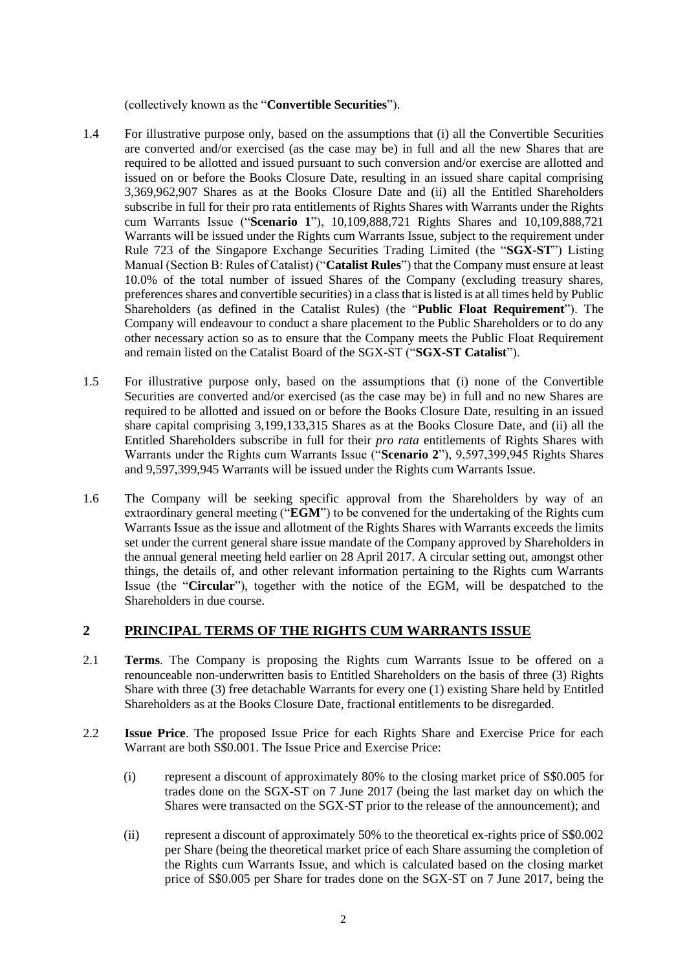(collectively known as the "**Convertible Securities**").

- 1.4 For illustrative purpose only, based on the assumptions that (i) all the Convertible Securities are converted and/or exercised (as the case may be) in full and all the new Shares that are required to be allotted and issued pursuant to such conversion and/or exercise are allotted and issued on or before the Books Closure Date, resulting in an issued share capital comprising 3,369,962,907 Shares as at the Books Closure Date and (ii) all the Entitled Shareholders subscribe in full for their pro rata entitlements of Rights Shares with Warrants under the Rights cum Warrants Issue ("**Scenario 1**"), 10,109,888,721 Rights Shares and 10,109,888,721 Warrants will be issued under the Rights cum Warrants Issue, subject to the requirement under Rule 723 of the Singapore Exchange Securities Trading Limited (the "**SGX-ST**") Listing Manual (Section B: Rules of Catalist) ("**Catalist Rules**") that the Company must ensure at least 10.0% of the total number of issued Shares of the Company (excluding treasury shares, preferences shares and convertible securities) in a class that is listed is at all times held by Public Shareholders (as defined in the Catalist Rules) (the "**Public Float Requirement**"). The Company will endeavour to conduct a share placement to the Public Shareholders or to do any other necessary action so as to ensure that the Company meets the Public Float Requirement and remain listed on the Catalist Board of the SGX-ST ("**SGX-ST Catalist**").
- 1.5 For illustrative purpose only, based on the assumptions that (i) none of the Convertible Securities are converted and/or exercised (as the case may be) in full and no new Shares are required to be allotted and issued on or before the Books Closure Date, resulting in an issued share capital comprising 3,199,133,315 Shares as at the Books Closure Date, and (ii) all the Entitled Shareholders subscribe in full for their *pro rata* entitlements of Rights Shares with Warrants under the Rights cum Warrants Issue ("**Scenario 2**"), 9,597,399,945 Rights Shares and 9,597,399,945 Warrants will be issued under the Rights cum Warrants Issue.
- 1.6 The Company will be seeking specific approval from the Shareholders by way of an extraordinary general meeting ("**EGM**") to be convened for the undertaking of the Rights cum Warrants Issue as the issue and allotment of the Rights Shares with Warrants exceeds the limits set under the current general share issue mandate of the Company approved by Shareholders in the annual general meeting held earlier on 28 April 2017. A circular setting out, amongst other things, the details of, and other relevant information pertaining to the Rights cum Warrants Issue (the "**Circular**"), together with the notice of the EGM, will be despatched to the Shareholders in due course.

# **2 PRINCIPAL TERMS OF THE RIGHTS CUM WARRANTS ISSUE**

- 2.1 **Terms**. The Company is proposing the Rights cum Warrants Issue to be offered on a renounceable non-underwritten basis to Entitled Shareholders on the basis of three (3) Rights Share with three (3) free detachable Warrants for every one (1) existing Share held by Entitled Shareholders as at the Books Closure Date, fractional entitlements to be disregarded.
- 2.2 **Issue Price**. The proposed Issue Price for each Rights Share and Exercise Price for each Warrant are both S\$0.001. The Issue Price and Exercise Price:
	- (i) represent a discount of approximately 80% to the closing market price of S\$0.005 for trades done on the SGX-ST on 7 June 2017 (being the last market day on which the Shares were transacted on the SGX-ST prior to the release of the announcement); and
	- (ii) represent a discount of approximately 50% to the theoretical ex-rights price of S\$0.002 per Share (being the theoretical market price of each Share assuming the completion of the Rights cum Warrants Issue, and which is calculated based on the closing market price of S\$0.005 per Share for trades done on the SGX-ST on 7 June 2017, being the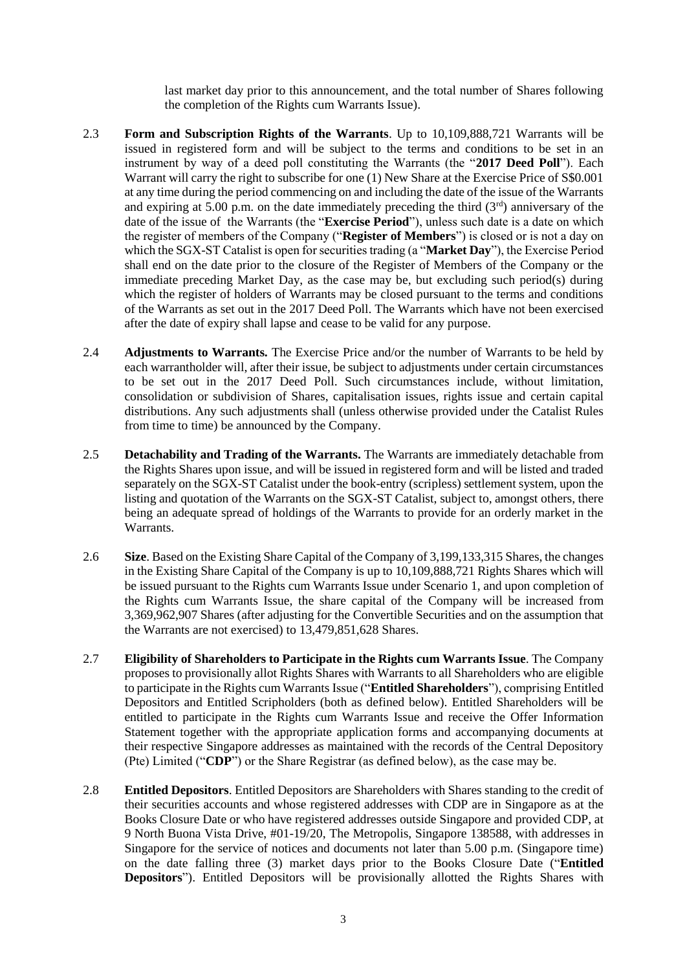last market day prior to this announcement, and the total number of Shares following the completion of the Rights cum Warrants Issue).

- 2.3 **Form and Subscription Rights of the Warrants**. Up to 10,109,888,721 Warrants will be issued in registered form and will be subject to the terms and conditions to be set in an instrument by way of a deed poll constituting the Warrants (the "**2017 Deed Poll**"). Each Warrant will carry the right to subscribe for one (1) New Share at the Exercise Price of S\$0.001 at any time during the period commencing on and including the date of the issue of the Warrants and expiring at 5.00 p.m. on the date immediately preceding the third  $(3<sup>rd</sup>)$  anniversary of the date of the issue of the Warrants (the "**Exercise Period**"), unless such date is a date on which the register of members of the Company ("**Register of Members**") is closed or is not a day on which the SGX-ST Catalist is open for securities trading (a "**Market Day**"), the Exercise Period shall end on the date prior to the closure of the Register of Members of the Company or the immediate preceding Market Day, as the case may be, but excluding such period(s) during which the register of holders of Warrants may be closed pursuant to the terms and conditions of the Warrants as set out in the 2017 Deed Poll. The Warrants which have not been exercised after the date of expiry shall lapse and cease to be valid for any purpose.
- 2.4 **Adjustments to Warrants.** The Exercise Price and/or the number of Warrants to be held by each warrantholder will, after their issue, be subject to adjustments under certain circumstances to be set out in the 2017 Deed Poll. Such circumstances include, without limitation, consolidation or subdivision of Shares, capitalisation issues, rights issue and certain capital distributions. Any such adjustments shall (unless otherwise provided under the Catalist Rules from time to time) be announced by the Company.
- 2.5 **Detachability and Trading of the Warrants.** The Warrants are immediately detachable from the Rights Shares upon issue, and will be issued in registered form and will be listed and traded separately on the SGX-ST Catalist under the book-entry (scripless) settlement system, upon the listing and quotation of the Warrants on the SGX-ST Catalist, subject to, amongst others, there being an adequate spread of holdings of the Warrants to provide for an orderly market in the Warrants.
- 2.6 **Size**. Based on the Existing Share Capital of the Company of 3,199,133,315 Shares, the changes in the Existing Share Capital of the Company is up to 10,109,888,721 Rights Shares which will be issued pursuant to the Rights cum Warrants Issue under Scenario 1, and upon completion of the Rights cum Warrants Issue, the share capital of the Company will be increased from 3,369,962,907 Shares (after adjusting for the Convertible Securities and on the assumption that the Warrants are not exercised) to 13,479,851,628 Shares.
- 2.7 **Eligibility of Shareholders to Participate in the Rights cum Warrants Issue**. The Company proposes to provisionally allot Rights Shares with Warrants to all Shareholders who are eligible to participate in the Rights cum Warrants Issue ("**Entitled Shareholders**"), comprising Entitled Depositors and Entitled Scripholders (both as defined below). Entitled Shareholders will be entitled to participate in the Rights cum Warrants Issue and receive the Offer Information Statement together with the appropriate application forms and accompanying documents at their respective Singapore addresses as maintained with the records of the Central Depository (Pte) Limited ("**CDP**") or the Share Registrar (as defined below), as the case may be.
- 2.8 **Entitled Depositors**. Entitled Depositors are Shareholders with Shares standing to the credit of their securities accounts and whose registered addresses with CDP are in Singapore as at the Books Closure Date or who have registered addresses outside Singapore and provided CDP, at 9 North Buona Vista Drive, #01-19/20, The Metropolis, Singapore 138588, with addresses in Singapore for the service of notices and documents not later than 5.00 p.m. (Singapore time) on the date falling three (3) market days prior to the Books Closure Date ("**Entitled Depositors**"). Entitled Depositors will be provisionally allotted the Rights Shares with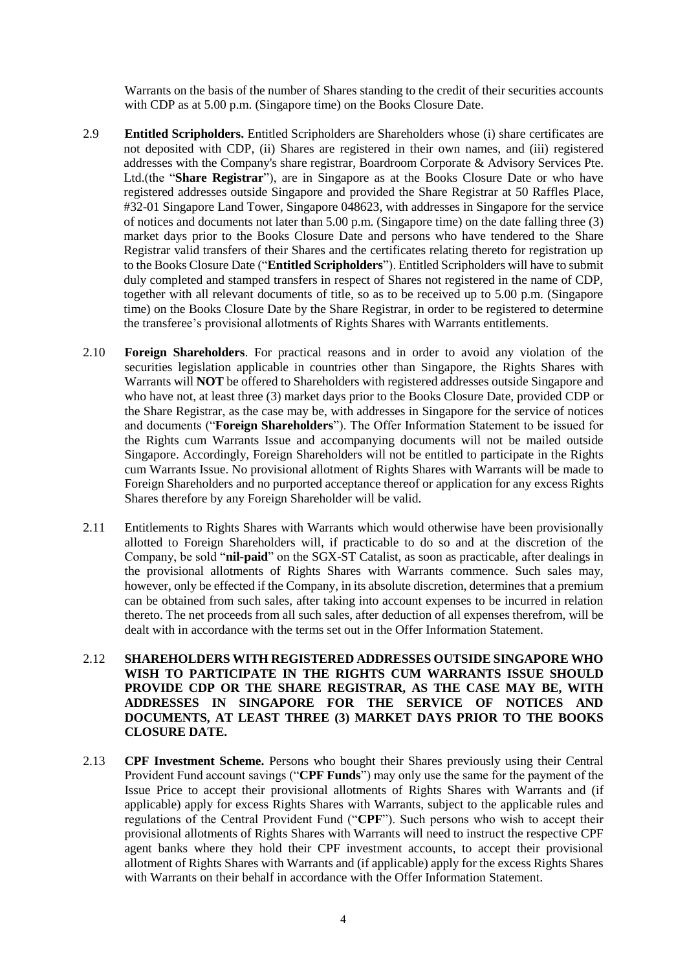Warrants on the basis of the number of Shares standing to the credit of their securities accounts with CDP as at 5.00 p.m. (Singapore time) on the Books Closure Date.

- 2.9 **Entitled Scripholders.** Entitled Scripholders are Shareholders whose (i) share certificates are not deposited with CDP, (ii) Shares are registered in their own names, and (iii) registered addresses with the Company's share registrar, Boardroom Corporate & Advisory Services Pte. Ltd.(the "**Share Registrar**"), are in Singapore as at the Books Closure Date or who have registered addresses outside Singapore and provided the Share Registrar at 50 Raffles Place, #32-01 Singapore Land Tower, Singapore 048623, with addresses in Singapore for the service of notices and documents not later than 5.00 p.m. (Singapore time) on the date falling three (3) market days prior to the Books Closure Date and persons who have tendered to the Share Registrar valid transfers of their Shares and the certificates relating thereto for registration up to the Books Closure Date ("**Entitled Scripholders**"). Entitled Scripholders will have to submit duly completed and stamped transfers in respect of Shares not registered in the name of CDP, together with all relevant documents of title, so as to be received up to 5.00 p.m. (Singapore time) on the Books Closure Date by the Share Registrar, in order to be registered to determine the transferee's provisional allotments of Rights Shares with Warrants entitlements.
- 2.10 **Foreign Shareholders**. For practical reasons and in order to avoid any violation of the securities legislation applicable in countries other than Singapore, the Rights Shares with Warrants will **NOT** be offered to Shareholders with registered addresses outside Singapore and who have not, at least three (3) market days prior to the Books Closure Date, provided CDP or the Share Registrar, as the case may be, with addresses in Singapore for the service of notices and documents ("**Foreign Shareholders**"). The Offer Information Statement to be issued for the Rights cum Warrants Issue and accompanying documents will not be mailed outside Singapore. Accordingly, Foreign Shareholders will not be entitled to participate in the Rights cum Warrants Issue. No provisional allotment of Rights Shares with Warrants will be made to Foreign Shareholders and no purported acceptance thereof or application for any excess Rights Shares therefore by any Foreign Shareholder will be valid.
- 2.11 Entitlements to Rights Shares with Warrants which would otherwise have been provisionally allotted to Foreign Shareholders will, if practicable to do so and at the discretion of the Company, be sold "**nil-paid**" on the SGX-ST Catalist, as soon as practicable, after dealings in the provisional allotments of Rights Shares with Warrants commence. Such sales may, however, only be effected if the Company, in its absolute discretion, determines that a premium can be obtained from such sales, after taking into account expenses to be incurred in relation thereto. The net proceeds from all such sales, after deduction of all expenses therefrom, will be dealt with in accordance with the terms set out in the Offer Information Statement.
- 2.12 **SHAREHOLDERS WITH REGISTERED ADDRESSES OUTSIDE SINGAPORE WHO WISH TO PARTICIPATE IN THE RIGHTS CUM WARRANTS ISSUE SHOULD PROVIDE CDP OR THE SHARE REGISTRAR, AS THE CASE MAY BE, WITH ADDRESSES IN SINGAPORE FOR THE SERVICE OF NOTICES AND DOCUMENTS, AT LEAST THREE (3) MARKET DAYS PRIOR TO THE BOOKS CLOSURE DATE.**
- 2.13 **CPF Investment Scheme.** Persons who bought their Shares previously using their Central Provident Fund account savings ("**CPF Funds**") may only use the same for the payment of the Issue Price to accept their provisional allotments of Rights Shares with Warrants and (if applicable) apply for excess Rights Shares with Warrants, subject to the applicable rules and regulations of the Central Provident Fund ("**CPF**"). Such persons who wish to accept their provisional allotments of Rights Shares with Warrants will need to instruct the respective CPF agent banks where they hold their CPF investment accounts, to accept their provisional allotment of Rights Shares with Warrants and (if applicable) apply for the excess Rights Shares with Warrants on their behalf in accordance with the Offer Information Statement.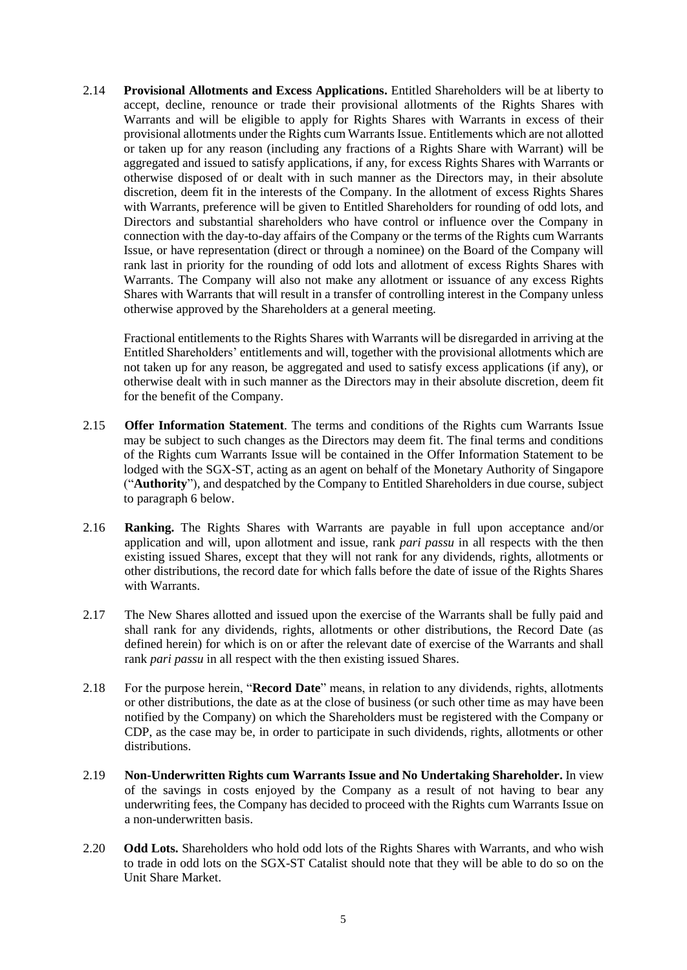2.14 **Provisional Allotments and Excess Applications.** Entitled Shareholders will be at liberty to accept, decline, renounce or trade their provisional allotments of the Rights Shares with Warrants and will be eligible to apply for Rights Shares with Warrants in excess of their provisional allotments under the Rights cum Warrants Issue. Entitlements which are not allotted or taken up for any reason (including any fractions of a Rights Share with Warrant) will be aggregated and issued to satisfy applications, if any, for excess Rights Shares with Warrants or otherwise disposed of or dealt with in such manner as the Directors may, in their absolute discretion, deem fit in the interests of the Company. In the allotment of excess Rights Shares with Warrants, preference will be given to Entitled Shareholders for rounding of odd lots, and Directors and substantial shareholders who have control or influence over the Company in connection with the day-to-day affairs of the Company or the terms of the Rights cum Warrants Issue, or have representation (direct or through a nominee) on the Board of the Company will rank last in priority for the rounding of odd lots and allotment of excess Rights Shares with Warrants. The Company will also not make any allotment or issuance of any excess Rights Shares with Warrants that will result in a transfer of controlling interest in the Company unless otherwise approved by the Shareholders at a general meeting.

Fractional entitlements to the Rights Shares with Warrants will be disregarded in arriving at the Entitled Shareholders' entitlements and will, together with the provisional allotments which are not taken up for any reason, be aggregated and used to satisfy excess applications (if any), or otherwise dealt with in such manner as the Directors may in their absolute discretion, deem fit for the benefit of the Company.

- 2.15 **Offer Information Statement**. The terms and conditions of the Rights cum Warrants Issue may be subject to such changes as the Directors may deem fit. The final terms and conditions of the Rights cum Warrants Issue will be contained in the Offer Information Statement to be lodged with the SGX-ST, acting as an agent on behalf of the Monetary Authority of Singapore ("**Authority**"), and despatched by the Company to Entitled Shareholders in due course, subject to paragraph 6 below.
- 2.16 **Ranking.** The Rights Shares with Warrants are payable in full upon acceptance and/or application and will, upon allotment and issue, rank *pari passu* in all respects with the then existing issued Shares, except that they will not rank for any dividends, rights, allotments or other distributions, the record date for which falls before the date of issue of the Rights Shares with Warrants.
- 2.17 The New Shares allotted and issued upon the exercise of the Warrants shall be fully paid and shall rank for any dividends, rights, allotments or other distributions, the Record Date (as defined herein) for which is on or after the relevant date of exercise of the Warrants and shall rank *pari passu* in all respect with the then existing issued Shares.
- 2.18 For the purpose herein, "**Record Date**" means, in relation to any dividends, rights, allotments or other distributions, the date as at the close of business (or such other time as may have been notified by the Company) on which the Shareholders must be registered with the Company or CDP, as the case may be, in order to participate in such dividends, rights, allotments or other distributions.
- 2.19 **Non-Underwritten Rights cum Warrants Issue and No Undertaking Shareholder.** In view of the savings in costs enjoyed by the Company as a result of not having to bear any underwriting fees, the Company has decided to proceed with the Rights cum Warrants Issue on a non-underwritten basis.
- 2.20 **Odd Lots.** Shareholders who hold odd lots of the Rights Shares with Warrants, and who wish to trade in odd lots on the SGX-ST Catalist should note that they will be able to do so on the Unit Share Market.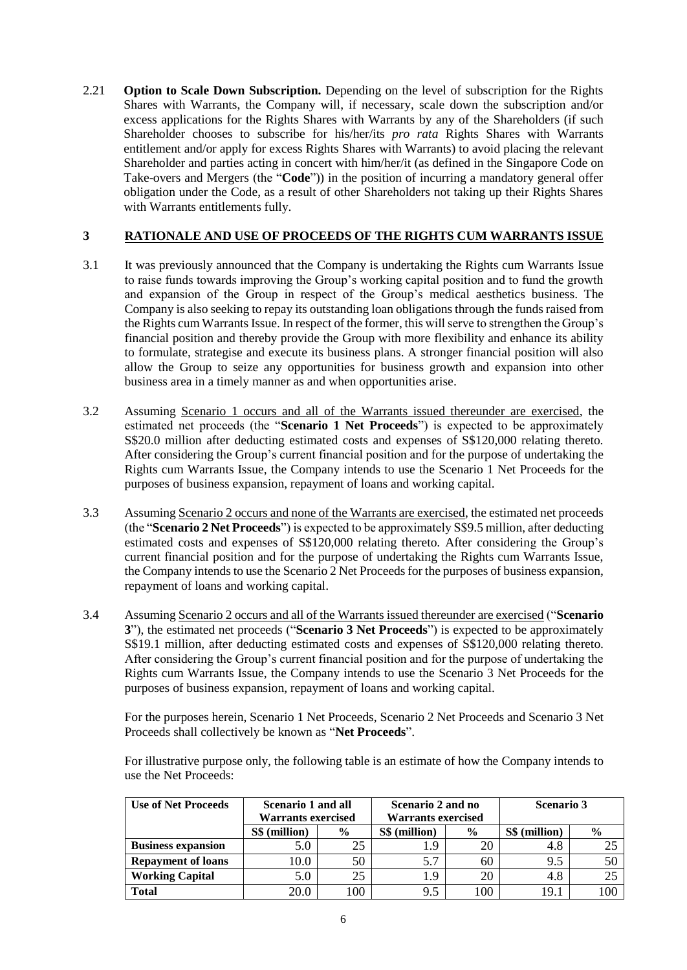2.21 **Option to Scale Down Subscription.** Depending on the level of subscription for the Rights Shares with Warrants, the Company will, if necessary, scale down the subscription and/or excess applications for the Rights Shares with Warrants by any of the Shareholders (if such Shareholder chooses to subscribe for his/her/its *pro rata* Rights Shares with Warrants entitlement and/or apply for excess Rights Shares with Warrants) to avoid placing the relevant Shareholder and parties acting in concert with him/her/it (as defined in the Singapore Code on Take-overs and Mergers (the "**Code**")) in the position of incurring a mandatory general offer obligation under the Code, as a result of other Shareholders not taking up their Rights Shares with Warrants entitlements fully.

### **3 RATIONALE AND USE OF PROCEEDS OF THE RIGHTS CUM WARRANTS ISSUE**

- 3.1 It was previously announced that the Company is undertaking the Rights cum Warrants Issue to raise funds towards improving the Group's working capital position and to fund the growth and expansion of the Group in respect of the Group's medical aesthetics business. The Company is also seeking to repay its outstanding loan obligations through the funds raised from the Rights cum Warrants Issue. In respect of the former, this will serve to strengthen the Group's financial position and thereby provide the Group with more flexibility and enhance its ability to formulate, strategise and execute its business plans. A stronger financial position will also allow the Group to seize any opportunities for business growth and expansion into other business area in a timely manner as and when opportunities arise.
- 3.2 Assuming Scenario 1 occurs and all of the Warrants issued thereunder are exercised, the estimated net proceeds (the "**Scenario 1 Net Proceeds**") is expected to be approximately S\$20.0 million after deducting estimated costs and expenses of S\$120,000 relating thereto. After considering the Group's current financial position and for the purpose of undertaking the Rights cum Warrants Issue, the Company intends to use the Scenario 1 Net Proceeds for the purposes of business expansion, repayment of loans and working capital.
- 3.3 Assuming Scenario 2 occurs and none of the Warrants are exercised, the estimated net proceeds (the "**Scenario 2 Net Proceeds**") is expected to be approximately S\$9.5 million, after deducting estimated costs and expenses of S\$120,000 relating thereto. After considering the Group's current financial position and for the purpose of undertaking the Rights cum Warrants Issue, the Company intends to use the Scenario 2 Net Proceeds for the purposes of business expansion, repayment of loans and working capital.
- 3.4 Assuming Scenario 2 occurs and all of the Warrants issued thereunder are exercised ("**Scenario 3**"), the estimated net proceeds ("**Scenario 3 Net Proceeds**") is expected to be approximately S\$19.1 million, after deducting estimated costs and expenses of S\$120,000 relating thereto. After considering the Group's current financial position and for the purpose of undertaking the Rights cum Warrants Issue, the Company intends to use the Scenario 3 Net Proceeds for the purposes of business expansion, repayment of loans and working capital.

For the purposes herein, Scenario 1 Net Proceeds, Scenario 2 Net Proceeds and Scenario 3 Net Proceeds shall collectively be known as "**Net Proceeds**".

For illustrative purpose only, the following table is an estimate of how the Company intends to use the Net Proceeds:

| <b>Use of Net Proceeds</b> | <b>Scenario 1 and all</b> |               | Scenario 2 and no         |               | <b>Scenario 3</b> |               |
|----------------------------|---------------------------|---------------|---------------------------|---------------|-------------------|---------------|
|                            | <b>Warrants exercised</b> |               | <b>Warrants exercised</b> |               |                   |               |
|                            | S\$ (million)             | $\frac{6}{9}$ | S\$ (million)             | $\frac{6}{9}$ | S\$ (million)     | $\frac{6}{9}$ |
| <b>Business expansion</b>  | 5.0                       |               | 1.9                       | 20            | 4.8               |               |
| <b>Repayment of loans</b>  | 10.0                      | 50            | 5.7                       | 60            | 9.5               | 50            |
| <b>Working Capital</b>     | 5.0                       | 25            | 1.9                       | 20            | 4.8               |               |
| <b>Total</b>               | 20.0                      | 100           | 9.5                       | 100           | 19.1              | 100           |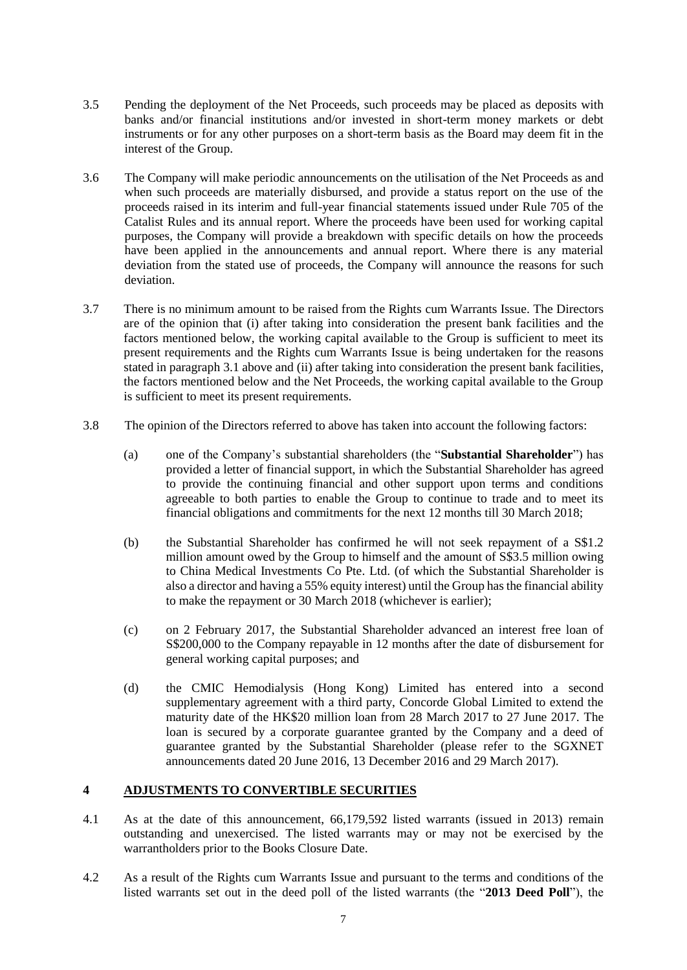- 3.5 Pending the deployment of the Net Proceeds, such proceeds may be placed as deposits with banks and/or financial institutions and/or invested in short-term money markets or debt instruments or for any other purposes on a short-term basis as the Board may deem fit in the interest of the Group.
- 3.6 The Company will make periodic announcements on the utilisation of the Net Proceeds as and when such proceeds are materially disbursed, and provide a status report on the use of the proceeds raised in its interim and full-year financial statements issued under Rule 705 of the Catalist Rules and its annual report. Where the proceeds have been used for working capital purposes, the Company will provide a breakdown with specific details on how the proceeds have been applied in the announcements and annual report. Where there is any material deviation from the stated use of proceeds, the Company will announce the reasons for such deviation.
- 3.7 There is no minimum amount to be raised from the Rights cum Warrants Issue. The Directors are of the opinion that (i) after taking into consideration the present bank facilities and the factors mentioned below, the working capital available to the Group is sufficient to meet its present requirements and the Rights cum Warrants Issue is being undertaken for the reasons stated in paragraph 3.1 above and (ii) after taking into consideration the present bank facilities, the factors mentioned below and the Net Proceeds, the working capital available to the Group is sufficient to meet its present requirements.
- 3.8 The opinion of the Directors referred to above has taken into account the following factors:
	- (a) one of the Company's substantial shareholders (the "**Substantial Shareholder**") has provided a letter of financial support, in which the Substantial Shareholder has agreed to provide the continuing financial and other support upon terms and conditions agreeable to both parties to enable the Group to continue to trade and to meet its financial obligations and commitments for the next 12 months till 30 March 2018;
	- (b) the Substantial Shareholder has confirmed he will not seek repayment of a S\$1.2 million amount owed by the Group to himself and the amount of S\$3.5 million owing to China Medical Investments Co Pte. Ltd. (of which the Substantial Shareholder is also a director and having a 55% equity interest) until the Group has the financial ability to make the repayment or 30 March 2018 (whichever is earlier);
	- (c) on 2 February 2017, the Substantial Shareholder advanced an interest free loan of S\$200,000 to the Company repayable in 12 months after the date of disbursement for general working capital purposes; and
	- (d) the CMIC Hemodialysis (Hong Kong) Limited has entered into a second supplementary agreement with a third party, Concorde Global Limited to extend the maturity date of the HK\$20 million loan from 28 March 2017 to 27 June 2017. The loan is secured by a corporate guarantee granted by the Company and a deed of guarantee granted by the Substantial Shareholder (please refer to the SGXNET announcements dated 20 June 2016, 13 December 2016 and 29 March 2017).

#### **4 ADJUSTMENTS TO CONVERTIBLE SECURITIES**

- 4.1 As at the date of this announcement, 66,179,592 listed warrants (issued in 2013) remain outstanding and unexercised. The listed warrants may or may not be exercised by the warrantholders prior to the Books Closure Date.
- 4.2 As a result of the Rights cum Warrants Issue and pursuant to the terms and conditions of the listed warrants set out in the deed poll of the listed warrants (the "**2013 Deed Poll**"), the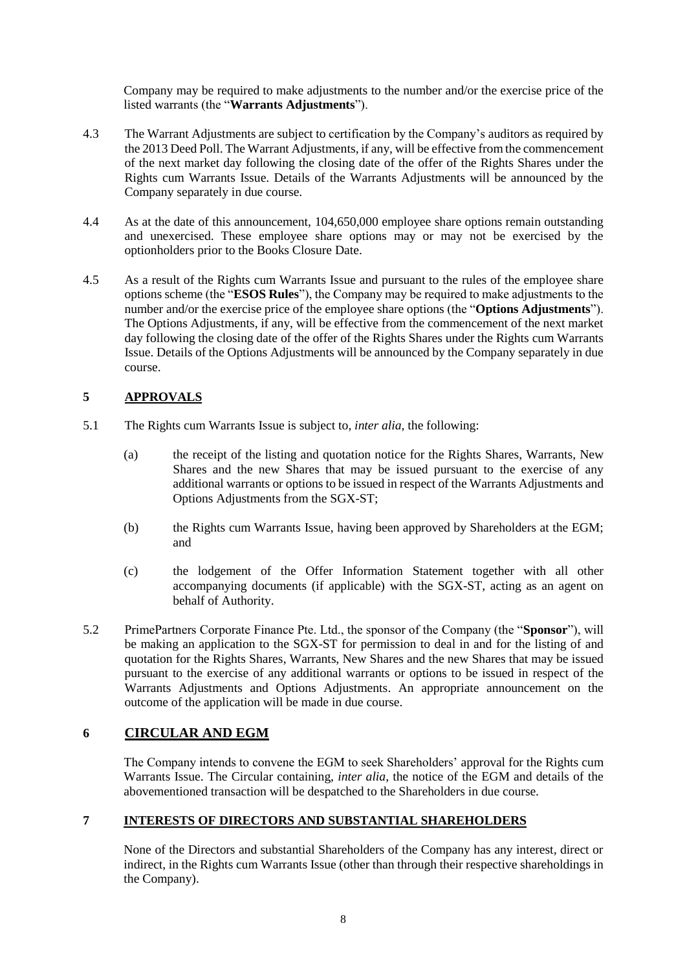Company may be required to make adjustments to the number and/or the exercise price of the listed warrants (the "**Warrants Adjustments**").

- 4.3 The Warrant Adjustments are subject to certification by the Company's auditors as required by the 2013 Deed Poll. The Warrant Adjustments, if any, will be effective from the commencement of the next market day following the closing date of the offer of the Rights Shares under the Rights cum Warrants Issue. Details of the Warrants Adjustments will be announced by the Company separately in due course.
- 4.4 As at the date of this announcement, 104,650,000 employee share options remain outstanding and unexercised. These employee share options may or may not be exercised by the optionholders prior to the Books Closure Date.
- 4.5 As a result of the Rights cum Warrants Issue and pursuant to the rules of the employee share options scheme (the "**ESOS Rules**"), the Company may be required to make adjustments to the number and/or the exercise price of the employee share options (the "**Options Adjustments**"). The Options Adjustments, if any, will be effective from the commencement of the next market day following the closing date of the offer of the Rights Shares under the Rights cum Warrants Issue. Details of the Options Adjustments will be announced by the Company separately in due course.

## **5 APPROVALS**

- 5.1 The Rights cum Warrants Issue is subject to, *inter alia*, the following:
	- (a) the receipt of the listing and quotation notice for the Rights Shares, Warrants, New Shares and the new Shares that may be issued pursuant to the exercise of any additional warrants or options to be issued in respect of the Warrants Adjustments and Options Adjustments from the SGX-ST;
	- (b) the Rights cum Warrants Issue, having been approved by Shareholders at the EGM; and
	- (c) the lodgement of the Offer Information Statement together with all other accompanying documents (if applicable) with the SGX-ST, acting as an agent on behalf of Authority.
- 5.2 PrimePartners Corporate Finance Pte. Ltd., the sponsor of the Company (the "**Sponsor**"), will be making an application to the SGX-ST for permission to deal in and for the listing of and quotation for the Rights Shares, Warrants, New Shares and the new Shares that may be issued pursuant to the exercise of any additional warrants or options to be issued in respect of the Warrants Adjustments and Options Adjustments. An appropriate announcement on the outcome of the application will be made in due course.

# **6 CIRCULAR AND EGM**

The Company intends to convene the EGM to seek Shareholders' approval for the Rights cum Warrants Issue. The Circular containing, *inter alia*, the notice of the EGM and details of the abovementioned transaction will be despatched to the Shareholders in due course.

#### **7 INTERESTS OF DIRECTORS AND SUBSTANTIAL SHAREHOLDERS**

None of the Directors and substantial Shareholders of the Company has any interest, direct or indirect, in the Rights cum Warrants Issue (other than through their respective shareholdings in the Company).